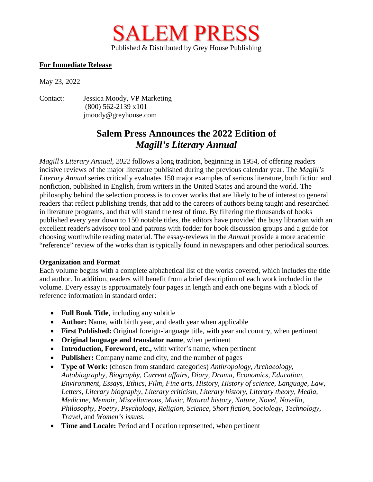

## **For Immediate Release**

May 23, 2022

Contact: Jessica Moody, VP Marketing (800) 562-2139 x101 jmoody@greyhouse.com

## **Salem Press Announces the 2022 Edition of**  *Magill's Literary Annual*

*Magill's Literary Annual, 2022* follows a long tradition, beginning in 1954, of offering readers incisive reviews of the major literature published during the previous calendar year. The *Magill's Literary Annual* series critically evaluates 150 major examples of serious literature, both fiction and nonfiction, published in English, from writers in the United States and around the world. The philosophy behind the selection process is to cover works that are likely to be of interest to general readers that reflect publishing trends, that add to the careers of authors being taught and researched in literature programs, and that will stand the test of time. By filtering the thousands of books published every year down to 150 notable titles, the editors have provided the busy librarian with an excellent reader's advisory tool and patrons with fodder for book discussion groups and a guide for choosing worthwhile reading material. The essay-reviews in the *Annual* provide a more academic "reference" review of the works than is typically found in newspapers and other periodical sources.

## **Organization and Format**

Each volume begins with a complete alphabetical list of the works covered, which includes the title and author. In addition, readers will benefit from a brief description of each work included in the volume. Every essay is approximately four pages in length and each one begins with a block of reference information in standard order:

- **Full Book Title**, including any subtitle
- **Author:** Name, with birth year, and death year when applicable
- **First Published:** Original foreign-language title, with year and country, when pertinent
- **Original language and translator name**, when pertinent
- **Introduction, Foreword, etc.,** with writer's name, when pertinent
- **Publisher:** Company name and city, and the number of pages
- **Type of Work:** (chosen from standard categories) *Anthropology, Archaeology, Autobiography, Biography, Current affairs, Diary, Drama, Economics, Education, Environment, Essays, Ethics, Film, Fine arts, History, History of science, Language, Law, Letters, Literary biography, Literary criticism, Literary history, Literary theory, Media, Medicine, Memoir, Miscellaneous, Music, Natural history, Nature, Novel, Novella, Philosophy, Poetry, Psychology, Religion, Science, Short fiction, Sociology, Technology, Travel,* and *Women's issues.*
- **Time and Locale:** Period and Location represented, when pertinent